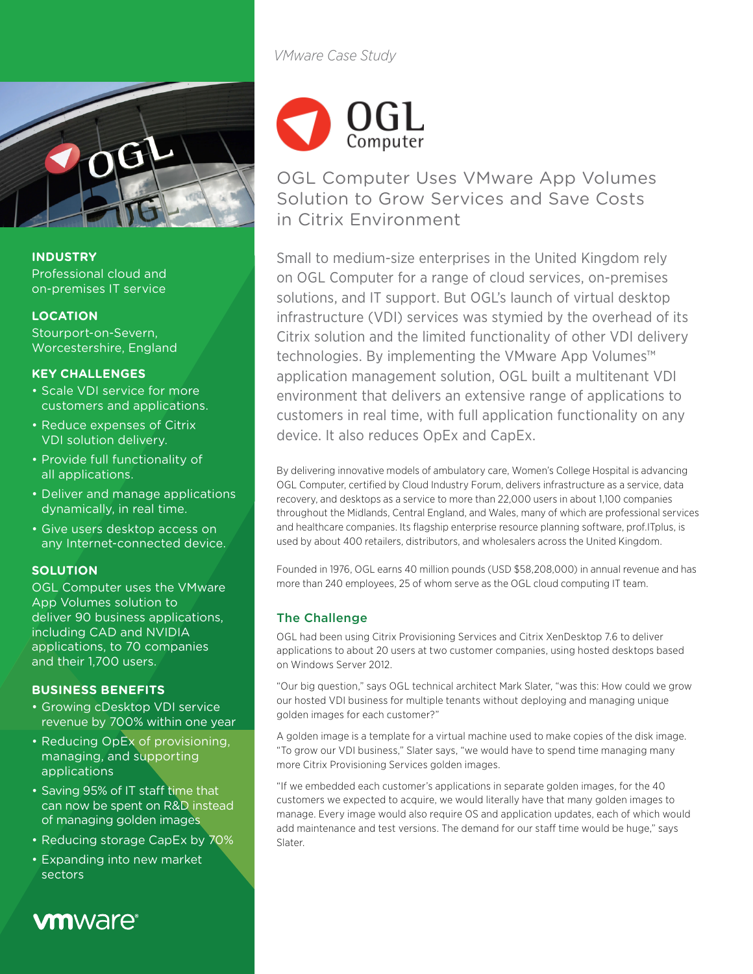

## **INDUSTRY**

Professional cloud and on-premises IT service

## **LOCATION**

Stourport-on-Severn, Worcestershire, England

## **KEY CHALLENGES**

- Scale VDI service for more customers and applications.
- Reduce expenses of Citrix VDI solution delivery.
- Provide full functionality of all applications.
- Deliver and manage applications dynamically, in real time.
- Give users desktop access on any Internet-connected device.

## **SOLUTION**

OGL Computer uses the VMware App Volumes solution to deliver 90 business applications, including CAD and NVIDIA applications, to 70 companies and their 1,700 users.

## **BUSINESS BENEFITS**

- Growing cDesktop VDI service revenue by 700% within one year
- Reducing OpEx of provisioning, managing, and supporting applications
- Saving 95% of IT staff time that can now be spent on R&D instead of managing golden images
- Reducing storage CapEx by 70%
- Expanding into new market sectors

# **vm**ware<sup>®</sup>

*VMware Case Study*



OGL Computer Uses VMware App Volumes Solution to Grow Services and Save Costs in Citrix Environment

Small to medium-size enterprises in the United Kingdom rely on OGL Computer for a range of cloud services, on-premises solutions, and IT support. But OGL's launch of virtual desktop infrastructure (VDI) services was stymied by the overhead of its Citrix solution and the limited functionality of other VDI delivery technologies. By implementing the VMware App Volumes™ application management solution, OGL built a multitenant VDI environment that delivers an extensive range of applications to customers in real time, with full application functionality on any device. It also reduces OpEx and CapEx.

By delivering innovative models of ambulatory care, Women's College Hospital is advancing OGL Computer, certified by Cloud Industry Forum, delivers infrastructure as a service, data recovery, and desktops as a service to more than 22,000 users in about 1,100 companies throughout the Midlands, Central England, and Wales, many of which are professional services and healthcare companies. Its flagship enterprise resource planning software, prof.ITplus, is used by about 400 retailers, distributors, and wholesalers across the United Kingdom.

Founded in 1976, OGL earns 40 million pounds (USD \$58,208,000) in annual revenue and has more than 240 employees, 25 of whom serve as the OGL cloud computing IT team.

## The Challenge

OGL had been using Citrix Provisioning Services and Citrix XenDesktop 7.6 to deliver applications to about 20 users at two customer companies, using hosted desktops based on Windows Server 2012.

"Our big question," says OGL technical architect Mark Slater, "was this: How could we grow our hosted VDI business for multiple tenants without deploying and managing unique golden images for each customer?"

A golden image is a template for a virtual machine used to make copies of the disk image. "To grow our VDI business," Slater says, "we would have to spend time managing many more Citrix Provisioning Services golden images.

"If we embedded each customer's applications in separate golden images, for the 40 customers we expected to acquire, we would literally have that many golden images to manage. Every image would also require OS and application updates, each of which would add maintenance and test versions. The demand for our staff time would be huge," says Slater.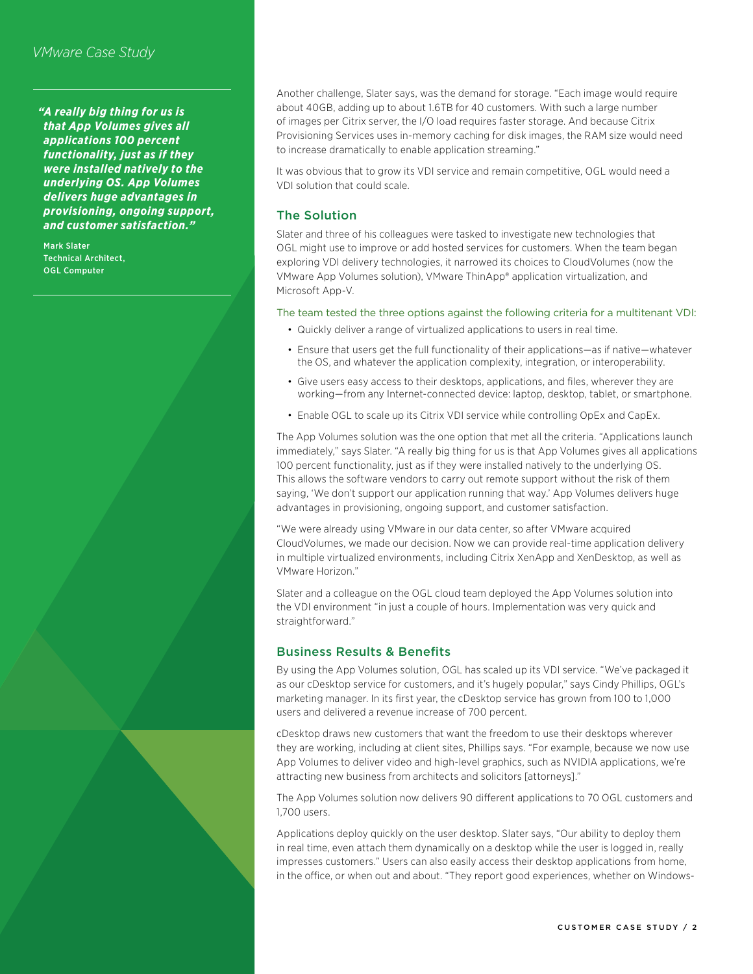## *VMware Case Study*

*"A really big thing for us is that App Volumes gives all applications 100 percent functionality, just as if they were installed natively to the underlying OS. App Volumes delivers huge advantages in provisioning, ongoing support, and customer satisfaction."*

Mark Slater Technical Architect, OGL Computer

Another challenge, Slater says, was the demand for storage. "Each image would require about 40GB, adding up to about 1.6TB for 40 customers. With such a large number of images per Citrix server, the I/O load requires faster storage. And because Citrix Provisioning Services uses in-memory caching for disk images, the RAM size would need to increase dramatically to enable application streaming."

It was obvious that to grow its VDI service and remain competitive, OGL would need a VDI solution that could scale.

#### The Solution

Slater and three of his colleagues were tasked to investigate new technologies that OGL might use to improve or add hosted services for customers. When the team began exploring VDI delivery technologies, it narrowed its choices to CloudVolumes (now the VMware App Volumes solution), VMware ThinApp® application virtualization, and Microsoft App-V.

#### The team tested the three options against the following criteria for a multitenant VDI:

- Quickly deliver a range of virtualized applications to users in real time.
- Ensure that users get the full functionality of their applications—as if native—whatever the OS, and whatever the application complexity, integration, or interoperability.
- Give users easy access to their desktops, applications, and files, wherever they are working—from any Internet-connected device: laptop, desktop, tablet, or smartphone.
- Enable OGL to scale up its Citrix VDI service while controlling OpEx and CapEx.

The App Volumes solution was the one option that met all the criteria. "Applications launch immediately," says Slater. "A really big thing for us is that App Volumes gives all applications 100 percent functionality, just as if they were installed natively to the underlying OS. This allows the software vendors to carry out remote support without the risk of them saying, 'We don't support our application running that way.' App Volumes delivers huge advantages in provisioning, ongoing support, and customer satisfaction.

"We were already using VMware in our data center, so after VMware acquired CloudVolumes, we made our decision. Now we can provide real-time application delivery in multiple virtualized environments, including Citrix XenApp and XenDesktop, as well as VMware Horizon."

Slater and a colleague on the OGL cloud team deployed the App Volumes solution into the VDI environment "in just a couple of hours. Implementation was very quick and straightforward."

#### Business Results & Benefits

By using the App Volumes solution, OGL has scaled up its VDI service. "We've packaged it as our cDesktop service for customers, and it's hugely popular," says Cindy Phillips, OGL's marketing manager. In its first year, the cDesktop service has grown from 100 to 1,000 users and delivered a revenue increase of 700 percent.

cDesktop draws new customers that want the freedom to use their desktops wherever they are working, including at client sites, Phillips says. "For example, because we now use App Volumes to deliver video and high-level graphics, such as NVIDIA applications, we're attracting new business from architects and solicitors [attorneys]."

The App Volumes solution now delivers 90 different applications to 70 OGL customers and 1,700 users.

Applications deploy quickly on the user desktop. Slater says, "Our ability to deploy them in real time, even attach them dynamically on a desktop while the user is logged in, really impresses customers." Users can also easily access their desktop applications from home, in the office, or when out and about. "They report good experiences, whether on Windows-